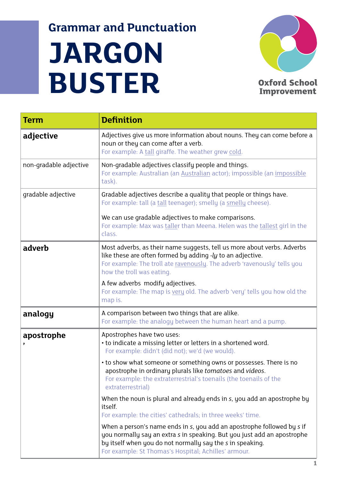## **Grammar and Punctuation**

## **JARGON BUSTER**



**Oxford School Improvement** 

| Term                   | <b>Definition</b>                                                                                                                                                                                                                                                      |
|------------------------|------------------------------------------------------------------------------------------------------------------------------------------------------------------------------------------------------------------------------------------------------------------------|
| adjective              | Adjectives give us more information about nouns. They can come before a<br>noun or they can come after a verb.<br>For example: A tall giraffe. The weather grew cold.                                                                                                  |
| non-gradable adjective | Non-gradable adjectives classify people and things.<br>For example: Australian (an Australian actor); impossible (an impossible<br>task).                                                                                                                              |
| gradable adjective     | Gradable adjectives describe a quality that people or things have.<br>For example: tall (a tall teenager); smelly (a smelly cheese).                                                                                                                                   |
|                        | We can use gradable adjectives to make comparisons.<br>For example: Max was taller than Meena. Helen was the tallest girl in the<br>class.                                                                                                                             |
| adverb                 | Most adverbs, as their name suggests, tell us more about verbs. Adverbs<br>like these are often formed by adding $-ly$ to an adjective.<br>For example: The troll ate ravenously. The adverb 'ravenously' tells you<br>how the troll was eating.                       |
|                        | A few adverbs modify adjectives.<br>For example: The map is very old. The adverb 'very' tells you how old the<br>map is.                                                                                                                                               |
| analogy                | A comparison between two things that are alike.<br>For example: the analogy between the human heart and a pump.                                                                                                                                                        |
| apostrophe             | Apostrophes have two uses:<br>• to indicate a missing letter or letters in a shortened word.<br>For example: didn't (did not); we'd (we would).                                                                                                                        |
|                        | • to show what someone or something owns or possesses. There is no<br>apostrophe in ordinary plurals like tomatoes and videos.<br>For example: the extraterrestrial's toenails (the toenails of the<br>extraterrestrial)                                               |
|                        | When the noun is plural and already ends in s, you add an apostrophe by<br>itself.<br>For example: the cities' cathedrals; in three weeks' time.                                                                                                                       |
|                        | When a person's name ends in s, you add an apostrophe followed by s if<br>you normally say an extra s in speaking. But you just add an apostrophe<br>by itself when you do not normally say the s in speaking.<br>For example: St Thomas's Hospital; Achilles' armour. |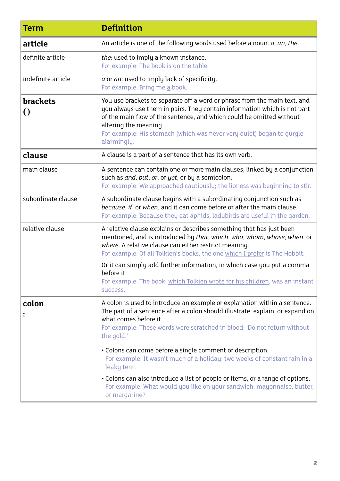| <b>Term</b>                            | <b>Definition</b>                                                                                                                                                                                                                                                                                                                              |
|----------------------------------------|------------------------------------------------------------------------------------------------------------------------------------------------------------------------------------------------------------------------------------------------------------------------------------------------------------------------------------------------|
| article                                | An article is one of the following words used before a noun: $a$ , $an$ , the.                                                                                                                                                                                                                                                                 |
| definite article                       | the: used to imply a known instance.<br>For example: The book is on the table.                                                                                                                                                                                                                                                                 |
| indefinite article                     | a or an: used to imply lack of specificity.<br>For example: Bring me a book.                                                                                                                                                                                                                                                                   |
| <b>brackets</b><br>$\left( \, \right)$ | You use brackets to separate off a word or phrase from the main text, and<br>you always use them in pairs. They contain information which is not part<br>of the main flow of the sentence, and which could be omitted without<br>altering the meaning.<br>For example: His stomach (which was never very quiet) began to qurgle<br>alarmingly. |
| clause                                 | A clause is a part of a sentence that has its own verb.                                                                                                                                                                                                                                                                                        |
| main clause                            | A sentence can contain one or more main clauses, linked by a conjunction<br>such as and, but, or, or yet, or by a semicolon.<br>For example: We approached cautiously; the lioness was beginning to stir.                                                                                                                                      |
| subordinate clause                     | A subordinate clause begins with a subordinating conjunction such as<br>because, if, or when, and it can come before or after the main clause.<br>For example: Because they eat aphids, ladybirds are useful in the garden.                                                                                                                    |
| relative clause                        | A relative clause explains or describes something that has just been<br>mentioned, and is introduced by that, which, who, whom, whose, when, or<br>where. A relative clause can either restrict meaning:<br>For example: Of all Tolkien's books, the one which I prefer is The Hobbit.                                                         |
|                                        | Or it can simply add further information, in which case you put a comma<br>before it:<br>For example: The book, which Tolkien wrote for his children, was an instant<br>success.                                                                                                                                                               |
| colon                                  | A colon is used to introduce an example or explanation within a sentence.<br>The part of a sentence after a colon should illustrate, explain, or expand on<br>what comes before it.<br>For example: These words were scratched in blood: 'Do not return without<br>the gold.'                                                                  |
|                                        | • Colons can come before a single comment or description.<br>For example: It wasn't much of a holiday: two weeks of constant rain in a<br>leaky tent.                                                                                                                                                                                          |
|                                        | • Colons can also introduce a list of people or items, or a range of options.<br>For example: What would you like on your sandwich: mayonnaise, butter,<br>or margarine?                                                                                                                                                                       |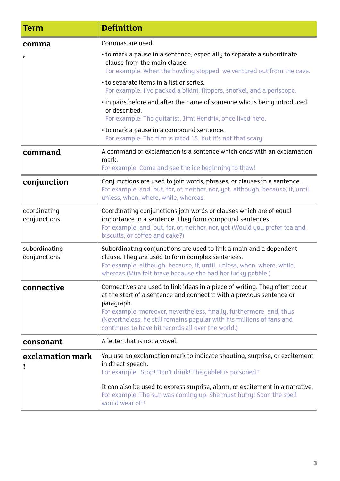| Term                          | <b>Definition</b>                                                                                                                                                                                                                                                                                                                                                        |
|-------------------------------|--------------------------------------------------------------------------------------------------------------------------------------------------------------------------------------------------------------------------------------------------------------------------------------------------------------------------------------------------------------------------|
| comma                         | Commas are used:                                                                                                                                                                                                                                                                                                                                                         |
| ,                             | • to mark a pause in a sentence, especially to separate a subordinate<br>clause from the main clause.<br>For example: When the howling stopped, we ventured out from the cave.                                                                                                                                                                                           |
|                               | • to separate items in a list or series.<br>For example: I've packed a bikini, flippers, snorkel, and a periscope.                                                                                                                                                                                                                                                       |
|                               | . in pairs before and after the name of someone who is being introduced<br>or described.<br>For example: The quitarist, Jimi Hendrix, once lived here.                                                                                                                                                                                                                   |
|                               | • to mark a pause in a compound sentence.<br>For example: The film is rated 15, but it's not that scary.                                                                                                                                                                                                                                                                 |
| command                       | A command or exclamation is a sentence which ends with an exclamation<br>mark.<br>For example: Come and see the ice beginning to thaw!                                                                                                                                                                                                                                   |
| conjunction                   | Conjunctions are used to join words, phrases, or clauses in a sentence.<br>For example: and, but, for, or, neither, nor, yet, although, because, if, until,<br>unless, when, where, while, whereas.                                                                                                                                                                      |
| coordinating<br>conjunctions  | Coordinating conjunctions join words or clauses which are of equal<br>importance in a sentence. They form compound sentences.<br>For example: and, but, for, or, neither, nor, yet (Would you prefer tea and<br>biscuits, or coffee and cake?)                                                                                                                           |
| subordinating<br>conjunctions | Subordinating conjunctions are used to link a main and a dependent<br>clause. They are used to form complex sentences.<br>For example: although, because, if, until, unless, when, where, while,<br>whereas (Mira felt brave because she had her lucky pebble.)                                                                                                          |
| connective                    | Connectives are used to link ideas in a piece of writing. They often occur<br>at the start of a sentence and connect it with a previous sentence or<br>paragraph.<br>For example: moreover, nevertheless, finally, furthermore, and, thus<br>(Nevertheless, he still remains popular with his millions of fans and<br>continues to have hit records all over the world.) |
| consonant                     | A letter that is not a vowel.                                                                                                                                                                                                                                                                                                                                            |
| exclamation mark              | You use an exclamation mark to indicate shouting, surprise, or excitement<br>in direct speech.<br>For example: 'Stop! Don't drink! The goblet is poisoned!'                                                                                                                                                                                                              |
|                               | It can also be used to express surprise, alarm, or excitement in a narrative.<br>For example: The sun was coming up. She must hurry! Soon the spell<br>would wear off!                                                                                                                                                                                                   |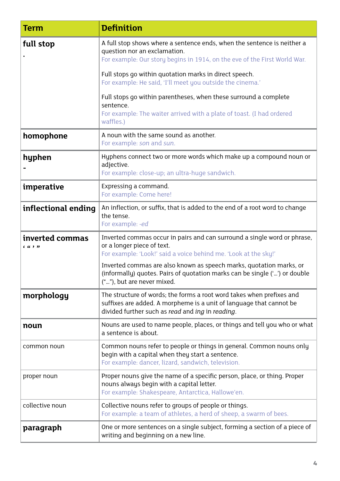| Term                        | <b>Definition</b>                                                                                                                                                                                |
|-----------------------------|--------------------------------------------------------------------------------------------------------------------------------------------------------------------------------------------------|
| full stop                   | A full stop shows where a sentence ends, when the sentence is neither a<br>question nor an exclamation.<br>For example: Our story begins in 1914, on the eve of the First World War.             |
|                             | Full stops go within quotation marks in direct speech.<br>For example: He said, 'I'll meet you outside the cinema.'                                                                              |
|                             | Full stops go within parentheses, when these surround a complete<br>sentence.<br>For example: The waiter arrived with a plate of toast. (I had ordered<br>waffles.)                              |
| homophone                   | A noun with the same sound as another.<br>For example: son and sun.                                                                                                                              |
| hyphen                      | Hyphens connect two or more words which make up a compound noun or<br>adjective.<br>For example: close-up; an ultra-huge sandwich.                                                               |
| imperative                  | Expressing a command.<br>For example: Come here!                                                                                                                                                 |
| inflectional ending         | An inflection, or suffix, that is added to the end of a root word to change<br>the tense.<br>For example: -ed                                                                                    |
| inverted commas<br>c cc , , | Inverted commas occur in pairs and can surround a single word or phrase,<br>or a longer piece of text.<br>For example: 'Look!' said a voice behind me. 'Look at the sky!'                        |
|                             | Inverted commas are also known as speech marks, quotation marks, or<br>(informally) quotes. Pairs of quotation marks can be single ('') or double<br>(""), but are never mixed.                  |
| morphology                  | The structure of words; the forms a root word takes when prefixes and<br>suffixes are added. A morpheme is a unit of language that cannot be<br>divided further such as read and ing in reading. |
| noun                        | Nouns are used to name people, places, or things and tell you who or what<br>a sentence is about.                                                                                                |
| common noun                 | Common nouns refer to people or things in general. Common nouns only<br>begin with a capital when they start a sentence.<br>For example: dancer, lizard, sandwich, television.                   |
| proper noun                 | Proper nouns give the name of a specific person, place, or thing. Proper<br>nouns always begin with a capital letter.<br>For example: Shakespeare, Antarctica, Hallowe'en.                       |
| collective noun             | Collective nouns refer to groups of people or things.<br>For example: a team of athletes, a herd of sheep, a swarm of bees.                                                                      |
| paragraph                   | One or more sentences on a single subject, forming a section of a piece of<br>writing and beginning on a new line.                                                                               |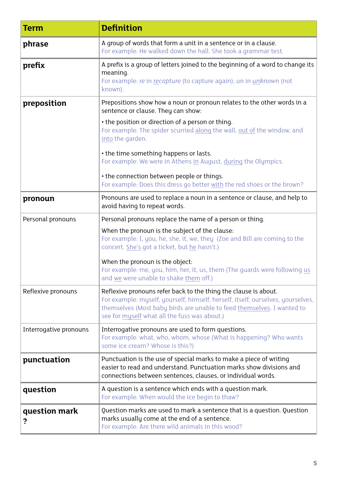| Term                   | <b>Definition</b>                                                                                                                                                                                                                                                            |
|------------------------|------------------------------------------------------------------------------------------------------------------------------------------------------------------------------------------------------------------------------------------------------------------------------|
| phrase                 | A group of words that form a unit in a sentence or in a clause.<br>For example: He walked down the hall. She took a grammar test.                                                                                                                                            |
| prefix                 | A prefix is a group of letters joined to the beginning of a word to change its<br>meaning.<br>For example: re in recapture (to capture again); un in <i>unknown</i> (not<br>known).                                                                                          |
| preposition            | Prepositions show how a noun or pronoun relates to the other words in a<br>sentence or clause. They can show:                                                                                                                                                                |
|                        | • the position or direction of a person or thing.<br>For example: The spider scurried along the wall, out of the window, and<br>into the garden.                                                                                                                             |
|                        | • the time something happens or lasts.<br>For example: We were in Athens in August, during the Olympics.                                                                                                                                                                     |
|                        | • the connection between people or things.<br>For example: Does this dress go better with the red shoes or the brown?                                                                                                                                                        |
| pronoun                | Pronouns are used to replace a noun in a sentence or clause, and help to<br>avoid having to repeat words.                                                                                                                                                                    |
| Personal pronouns      | Personal pronouns replace the name of a person or thing.                                                                                                                                                                                                                     |
|                        | When the pronoun is the subject of the clause:<br>For example: I, you, he, she, it, we, they (Zoe and Bill are coming to the<br>concert. She's got a ticket, but he hasn't.)                                                                                                 |
|                        | When the pronoun is the object:<br>For example: me, you, him, her, it, us, them (The guards were following us<br>and we were unable to shake them off.)                                                                                                                      |
| Reflexive pronouns     | Reflexive pronouns refer back to the thing the clause is about.<br>For example: myself, yourself, himself, herself, itself, ourselves, yourselves,<br>themselves (Most baby birds are unable to feed themselves. I wanted to<br>see for myself what all the fuss was about.) |
| Interrogative pronouns | Interrogative pronouns are used to form questions.<br>For example: what, who, whom, whose (What is happening? Who wants<br>some ice cream? Whose is this?)                                                                                                                   |
| punctuation            | Punctuation is the use of special marks to make a piece of writing<br>easier to read and understand. Punctuation marks show divisions and<br>connections between sentences, clauses, or individual words.                                                                    |
| question               | A question is a sentence which ends with a question mark.<br>For example: When would the ice begin to thaw?                                                                                                                                                                  |
| question mark<br>?     | Question marks are used to mark a sentence that is a question. Question<br>marks usually come at the end of a sentence.<br>For example: Are there wild animals in this wood?                                                                                                 |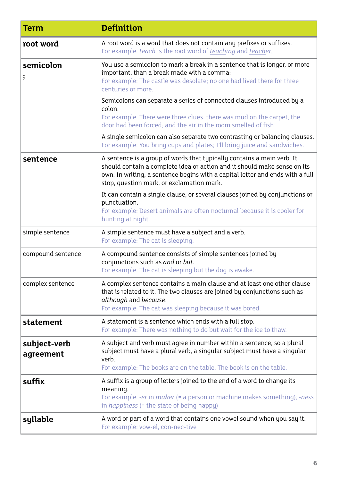| Term                      | <b>Definition</b>                                                                                                                                                                                                                                                                |
|---------------------------|----------------------------------------------------------------------------------------------------------------------------------------------------------------------------------------------------------------------------------------------------------------------------------|
| root word                 | A root word is a word that does not contain any prefixes or suffixes.<br>For example: teach is the root word of teaching and teacher,                                                                                                                                            |
| semicolon<br>$\cdot$      | You use a semicolon to mark a break in a sentence that is longer, or more<br>important, than a break made with a comma:<br>For example: The castle was desolate; no one had lived there for three<br>centuries or more.                                                          |
|                           | Semicolons can separate a series of connected clauses introduced by a<br>colon.<br>For example: There were three clues: there was mud on the carpet; the<br>door had been forced; and the air in the room smelled of fish.                                                       |
|                           | A single semicolon can also separate two contrasting or balancing clauses.<br>For example: You bring cups and plates; I'll bring juice and sandwiches.                                                                                                                           |
| sentence                  | A sentence is a group of words that typically contains a main verb. It<br>should contain a complete idea or action and it should make sense on its<br>own. In writing, a sentence begins with a capital letter and ends with a full<br>stop, question mark, or exclamation mark. |
|                           | It can contain a single clause, or several clauses joined by conjunctions or<br>punctuation.<br>For example: Desert animals are often nocturnal because it is cooler for<br>hunting at night.                                                                                    |
| simple sentence           | A simple sentence must have a subject and a verb.<br>For example: The cat is sleeping.                                                                                                                                                                                           |
| compound sentence         | A compound sentence consists of simple sentences joined by<br>conjunctions such as and or but.<br>For example: The cat is sleeping but the dog is awake.                                                                                                                         |
| complex sentence          | A complex sentence contains a main clause and at least one other clause<br>that is related to it. The two clauses are joined by conjunctions such as<br>although and because.<br>For example: The cat was sleeping because it was bored.                                         |
| statement                 | A statement is a sentence which ends with a full stop.<br>For example: There was nothing to do but wait for the ice to thaw.                                                                                                                                                     |
| subject-verb<br>agreement | A subject and verb must agree in number within a sentence, so a plural<br>subject must have a plural verb, a singular subject must have a singular<br>verb.<br>For example: The books are on the table. The book is on the table.                                                |
| suffix                    | A suffix is a group of letters joined to the end of a word to change its<br>meaning.<br>For example: -er in maker (= a person or machine makes something); -ness<br>in happiness (= the state of being happy)                                                                    |
| syllable                  | A word or part of a word that contains one vowel sound when you say it.<br>For example: vow-el, con-nec-tive                                                                                                                                                                     |